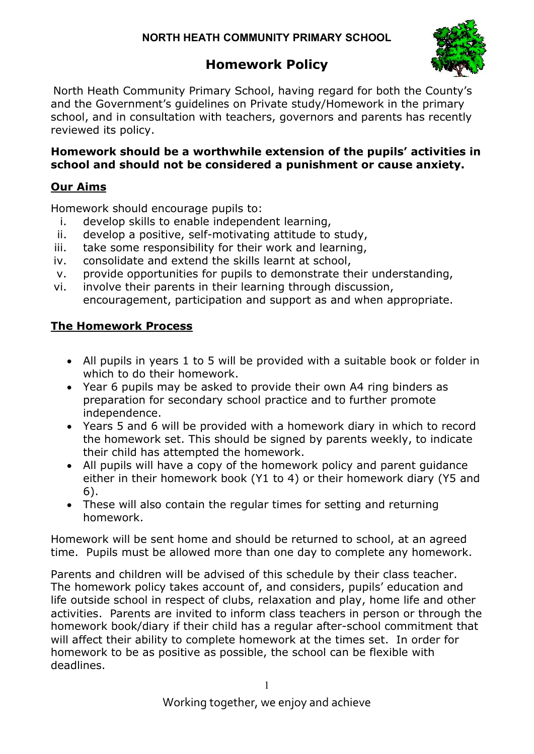# Homework Policy



North Heath Community Primary School, having regard for both the County's and the Government's guidelines on Private study/Homework in the primary school, and in consultation with teachers, governors and parents has recently reviewed its policy.

## Homework should be a worthwhile extension of the pupils' activities in school and should not be considered a punishment or cause anxiety.

## Our Aims

Homework should encourage pupils to:

- i. develop skills to enable independent learning,
- ii. develop a positive, self-motivating attitude to study,
- iii. take some responsibility for their work and learning,
- iv. consolidate and extend the skills learnt at school,
- v. provide opportunities for pupils to demonstrate their understanding,
- vi. involve their parents in their learning through discussion, encouragement, participation and support as and when appropriate.

## The Homework Process

- All pupils in years 1 to 5 will be provided with a suitable book or folder in which to do their homework.
- Year 6 pupils may be asked to provide their own A4 ring binders as preparation for secondary school practice and to further promote independence.
- Years 5 and 6 will be provided with a homework diary in which to record the homework set. This should be signed by parents weekly, to indicate their child has attempted the homework.
- All pupils will have a copy of the homework policy and parent guidance either in their homework book (Y1 to 4) or their homework diary (Y5 and 6).
- These will also contain the regular times for setting and returning homework.

Homework will be sent home and should be returned to school, at an agreed time. Pupils must be allowed more than one day to complete any homework.

Parents and children will be advised of this schedule by their class teacher. The homework policy takes account of, and considers, pupils' education and life outside school in respect of clubs, relaxation and play, home life and other activities. Parents are invited to inform class teachers in person or through the homework book/diary if their child has a regular after-school commitment that will affect their ability to complete homework at the times set. In order for homework to be as positive as possible, the school can be flexible with deadlines.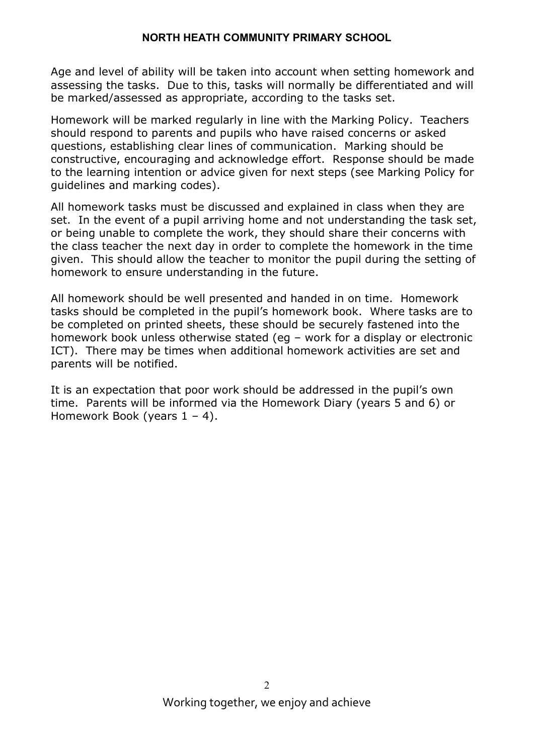Age and level of ability will be taken into account when setting homework and assessing the tasks. Due to this, tasks will normally be differentiated and will be marked/assessed as appropriate, according to the tasks set.

Homework will be marked regularly in line with the Marking Policy. Teachers should respond to parents and pupils who have raised concerns or asked questions, establishing clear lines of communication. Marking should be constructive, encouraging and acknowledge effort. Response should be made to the learning intention or advice given for next steps (see Marking Policy for guidelines and marking codes).

All homework tasks must be discussed and explained in class when they are set. In the event of a pupil arriving home and not understanding the task set, or being unable to complete the work, they should share their concerns with the class teacher the next day in order to complete the homework in the time given. This should allow the teacher to monitor the pupil during the setting of homework to ensure understanding in the future.

All homework should be well presented and handed in on time. Homework tasks should be completed in the pupil's homework book. Where tasks are to be completed on printed sheets, these should be securely fastened into the homework book unless otherwise stated (eg – work for a display or electronic ICT). There may be times when additional homework activities are set and parents will be notified.

It is an expectation that poor work should be addressed in the pupil's own time. Parents will be informed via the Homework Diary (years 5 and 6) or Homework Book (years  $1 - 4$ ).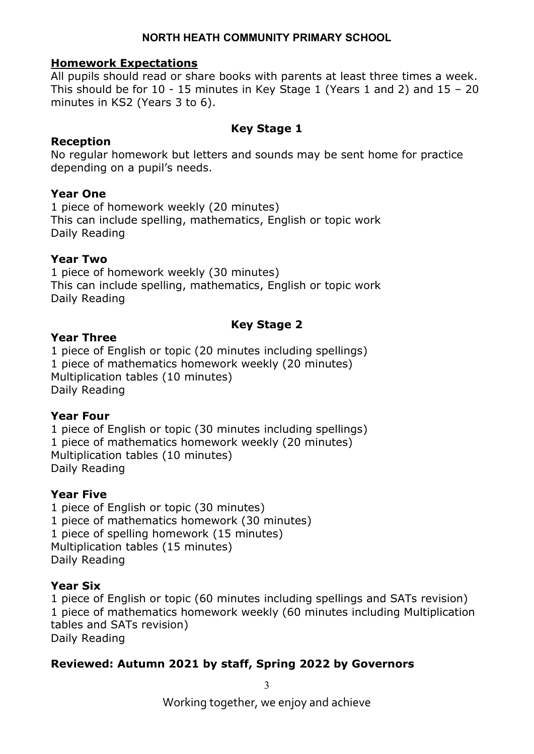#### Homework Expectations

All pupils should read or share books with parents at least three times a week. This should be for 10 - 15 minutes in Key Stage 1 (Years 1 and 2) and 15 – 20 minutes in KS2 (Years 3 to 6).

#### Key Stage 1

#### Reception

No regular homework but letters and sounds may be sent home for practice depending on a pupil's needs.

#### Year One

1 piece of homework weekly (20 minutes) This can include spelling, mathematics, English or topic work Daily Reading

#### Year Two

1 piece of homework weekly (30 minutes) This can include spelling, mathematics, English or topic work Daily Reading

## Key Stage 2

#### Year Three

1 piece of English or topic (20 minutes including spellings) 1 piece of mathematics homework weekly (20 minutes) Multiplication tables (10 minutes) Daily Reading

#### Year Four

1 piece of English or topic (30 minutes including spellings) 1 piece of mathematics homework weekly (20 minutes) Multiplication tables (10 minutes) Daily Reading

#### Year Five

1 piece of English or topic (30 minutes) 1 piece of mathematics homework (30 minutes) 1 piece of spelling homework (15 minutes) Multiplication tables (15 minutes) Daily Reading

#### Year Six

1 piece of English or topic (60 minutes including spellings and SATs revision) 1 piece of mathematics homework weekly (60 minutes including Multiplication tables and SATs revision) Daily Reading

## Reviewed: Autumn 2021 by staff, Spring 2022 by Governors

3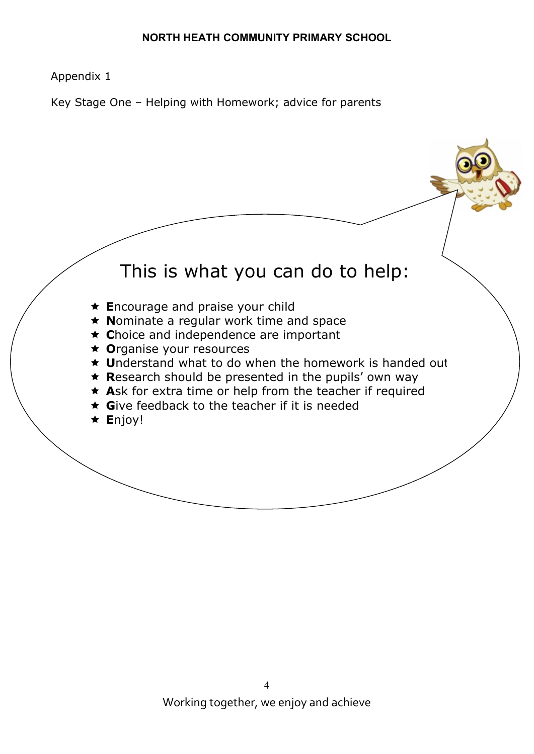## Appendix 1

Key Stage One – Helping with Homework; advice for parents

# This is what you can do to help:

- ★ Encourage and praise your child
- $\star$  Nominate a regular work time and space
- $\star$  Choice and independence are important
- ★ Organise your resources
- ★ Understand what to do when the homework is handed out
- $\star$  Research should be presented in the pupils' own way
- $\star$  Ask for extra time or help from the teacher if required
- $\star$  Give feedback to the teacher if it is needed
- $\star$  Enjoy!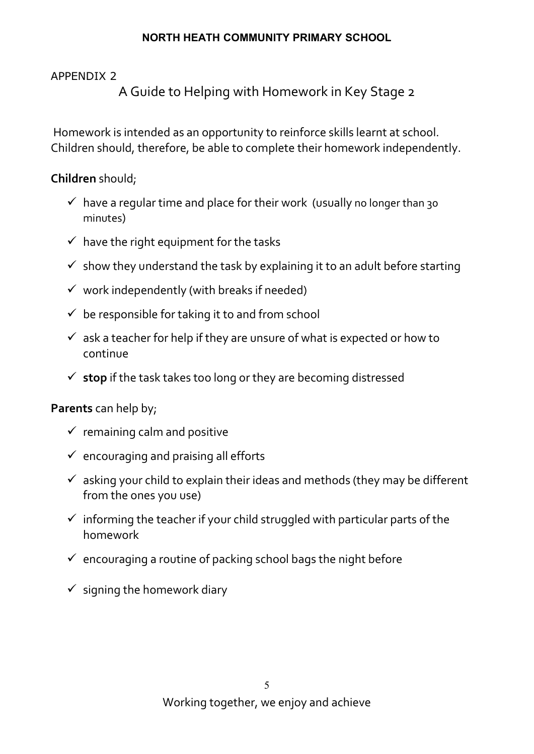## APPENDIX 2

A Guide to Helping with Homework in Key Stage 2

 Homework is intended as an opportunity to reinforce skills learnt at school. Children should, therefore, be able to complete their homework independently.

Children should;

- $\checkmark$  have a regular time and place for their work (usually no longer than 30 minutes)
- $\checkmark$  have the right equipment for the tasks
- $\checkmark$  show they understand the task by explaining it to an adult before starting
- $\checkmark$  work independently (with breaks if needed)
- $\checkmark$  be responsible for taking it to and from school
- $\checkmark$  ask a teacher for help if they are unsure of what is expected or how to continue
- $\checkmark$  stop if the task takes too long or they are becoming distressed

# Parents can help by;

- $\checkmark$  remaining calm and positive
- $\checkmark$  encouraging and praising all efforts
- $\checkmark$  asking your child to explain their ideas and methods (they may be different from the ones you use)
- $\checkmark$  informing the teacher if your child struggled with particular parts of the homework
- $\checkmark$  encouraging a routine of packing school bags the night before
- $\checkmark$  signing the homework diary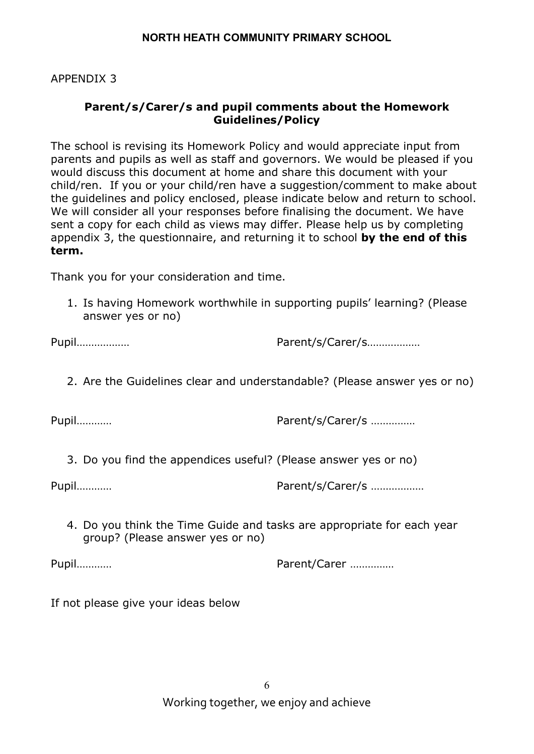APPENDIX 3

## Parent/s/Carer/s and pupil comments about the Homework Guidelines/Policy

The school is revising its Homework Policy and would appreciate input from parents and pupils as well as staff and governors. We would be pleased if you would discuss this document at home and share this document with your child/ren. If you or your child/ren have a suggestion/comment to make about the guidelines and policy enclosed, please indicate below and return to school. We will consider all your responses before finalising the document. We have sent a copy for each child as views may differ. Please help us by completing appendix 3, the questionnaire, and returning it to school by the end of this term.

Thank you for your consideration and time.

1. Is having Homework worthwhile in supporting pupils' learning? (Please answer yes or no)

Pupil……………… Parent/s/Carer/s………………

2. Are the Guidelines clear and understandable? (Please answer yes or no)

Pupil………… Parent/s/Carer/s ……………

3. Do you find the appendices useful? (Please answer yes or no)

Pupil………… Parent/s/Carer/s ………………

4. Do you think the Time Guide and tasks are appropriate for each year group? (Please answer yes or no)

Pupil………… Parent/Carer ……………

If not please give your ideas below